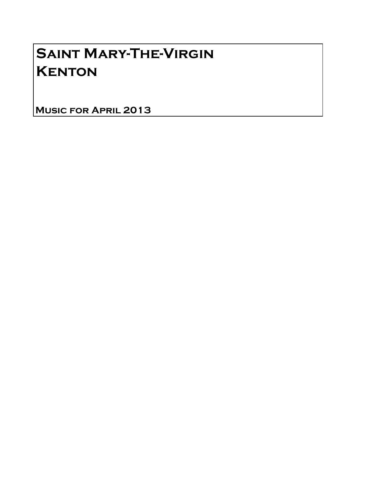## Saint Mary-The-Virgin **KENTON**

Music for April 2013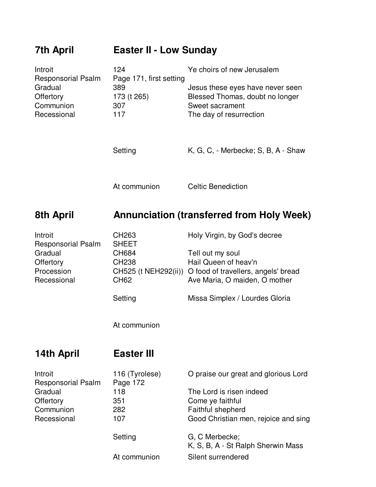| <b>7th April</b>                                                                                 | <b>Easter II - Low Sunday</b>                                                                                    |                                                                                                                                                                                    |  |
|--------------------------------------------------------------------------------------------------|------------------------------------------------------------------------------------------------------------------|------------------------------------------------------------------------------------------------------------------------------------------------------------------------------------|--|
| Introit<br><b>Responsorial Psalm</b><br>Gradual<br>Offertory<br>Communion<br>Recessional         | 124<br>Page 171, first setting<br>389<br>173 (t 265)<br>307<br>117                                               | Ye choirs of new Jerusalem<br>Jesus these eyes have never seen<br>Blessed Thomas, doubt no longer<br>Sweet sacrament<br>The day of resurrection                                    |  |
|                                                                                                  | Setting                                                                                                          | K, G, C, - Merbecke; S, B, A - Shaw                                                                                                                                                |  |
|                                                                                                  | At communion                                                                                                     | <b>Celtic Benediction</b>                                                                                                                                                          |  |
| 8th April                                                                                        | <b>Annunciation (transferred from Holy Week)</b>                                                                 |                                                                                                                                                                                    |  |
| Introit<br><b>Responsorial Psalm</b><br>Gradual<br><b>Offertory</b><br>Procession<br>Recessional | CH263<br><b>SHEET</b><br><b>CH684</b><br>CH238<br>CH525 (t NEH292(ii))<br><b>CH62</b><br>Setting<br>At communion | Holy Virgin, by God's decree<br>Tell out my soul<br>Hail Queen of heav'n<br>O food of travellers, angels' bread<br>Ave Maria, O maiden, O mother<br>Missa Simplex / Lourdes Gloria |  |
|                                                                                                  |                                                                                                                  |                                                                                                                                                                                    |  |
| 14th April                                                                                       | <b>Easter III</b>                                                                                                |                                                                                                                                                                                    |  |
| Introit<br><b>Responsorial Psalm</b><br>Gradual<br>Offertory<br>Communion<br>Recessional         | 116 (Tyrolese)<br>Page 172<br>118<br>351<br>282<br>107                                                           | O praise our great and glorious Lord<br>The Lord is risen indeed<br>Come ye faithful<br>Faithful shepherd<br>Good Christian men, rejoice and sing                                  |  |
|                                                                                                  | Setting<br>At communion                                                                                          | G, C Merbecke;<br>K, S, B, A - St Ralph Sherwin Mass<br>Silent surrendered                                                                                                         |  |